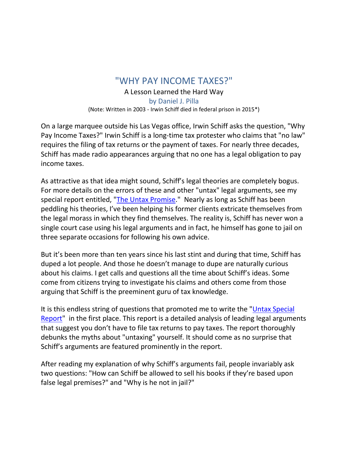## "WHY PAY INCOME TAXES?"

## A Lesson Learned the Hard Way

by Daniel J. Pilla (Note: Written in 2003 - Irwin Schiff died in federal prison in 2015\*)

On a large marquee outside his Las Vegas office, Irwin Schiff asks the question, "Why Pay Income Taxes?" Irwin Schiff is a long-time tax protester who claims that "no law" requires the filing of tax returns or the payment of taxes. For nearly three decades, Schiff has made radio appearances arguing that no one has a legal obligation to pay income taxes.

As attractive as that idea might sound, Schiff's legal theories are completely bogus. For more details on the errors of these and other "untax" legal arguments, see my special report entitled, ["The Untax Promise.](https://taxhelponline.com/wp-content/uploads/2022/03/THE-UNTAX-PROMISE.pdf)" Nearly as long as Schiff has been peddling his theories, I've been helping his former clients extricate themselves from the legal morass in which they find themselves. The reality is, Schiff has never won a single court case using his legal arguments and in fact, he himself has gone to jail on three separate occasions for following his own advice.

But it's been more than ten years since his last stint and during that time, Schiff has duped a lot people. And those he doesn't manage to dupe are naturally curious about his claims. I get calls and questions all the time about Schiff's ideas. Some come from citizens trying to investigate his claims and others come from those arguing that Schiff is the preeminent guru of tax knowledge.

It is this endless string of questions that promoted me to write the ["Untax Special](https://taxhelponline.com/wp-content/uploads/2022/03/THE-UNTAX-PROMISE.pdf)  [Report"](https://taxhelponline.com/wp-content/uploads/2022/03/THE-UNTAX-PROMISE.pdf) in the first place. This report is a detailed analysis of leading legal arguments that suggest you don't have to file tax returns to pay taxes. The report thoroughly debunks the myths about "untaxing" yourself. It should come as no surprise that Schiff's arguments are featured prominently in the report.

After reading my explanation of why Schiff's arguments fail, people invariably ask two questions: "How can Schiff be allowed to sell his books if they're based upon false legal premises?" and "Why is he not in jail?"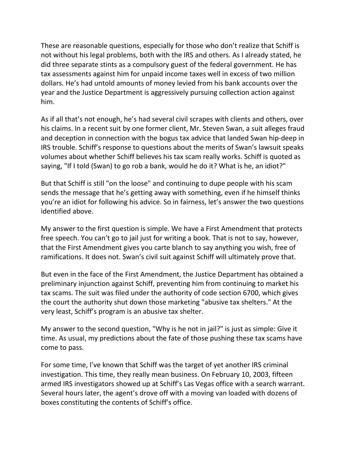These are reasonable questions, especially for those who don't realize that Schiff is not without his legal problems, both with the IRS and others. As I already stated, he did three separate stints as a compulsory guest of the federal government. He has tax assessments against him for unpaid income taxes well in excess of two million dollars. He's had untold amounts of money levied from his bank accounts over the year and the Justice Department is aggressively pursuing collection action against him.

As if all that's not enough, he's had several civil scrapes with clients and others, over his claims. In a recent suit by one former client, Mr. Steven Swan, a suit alleges fraud and deception in connection with the bogus tax advice that landed Swan hip-deep in IRS trouble. Schiff's response to questions about the merits of Swan's lawsuit speaks volumes about whether Schiff believes his tax scam really works. Schiff is quoted as saying, "If I told (Swan) to go rob a bank, would he do it? What is he, an idiot?"

But that Schiff is still "on the loose" and continuing to dupe people with his scam sends the message that he's getting away with something, even if he himself thinks you're an idiot for following his advice. So in fairness, let's answer the two questions identified above.

My answer to the first question is simple. We have a First Amendment that protects free speech. You can't go to jail just for writing a book. That is not to say, however, that the First Amendment gives you carte blanch to say anything you wish, free of ramifications. It does not. Swan's civil suit against Schiff will ultimately prove that.

But even in the face of the First Amendment, the Justice Department has obtained a preliminary injunction against Schiff, preventing him from continuing to market his tax scams. The suit was filed under the authority of code section 6700, which gives the court the authority shut down those marketing "abusive tax shelters." At the very least, Schiff's program is an abusive tax shelter.

My answer to the second question, "Why is he not in jail?" is just as simple: Give it time. As usual, my predictions about the fate of those pushing these tax scams have come to pass.

For some time, I've known that Schiff was the target of yet another IRS criminal investigation. This time, they really mean business. On February 10, 2003, fifteen armed IRS investigators showed up at Schiff's Las Vegas office with a search warrant. Several hours later, the agent's drove off with a moving van loaded with dozens of boxes constituting the contents of Schiff's office.